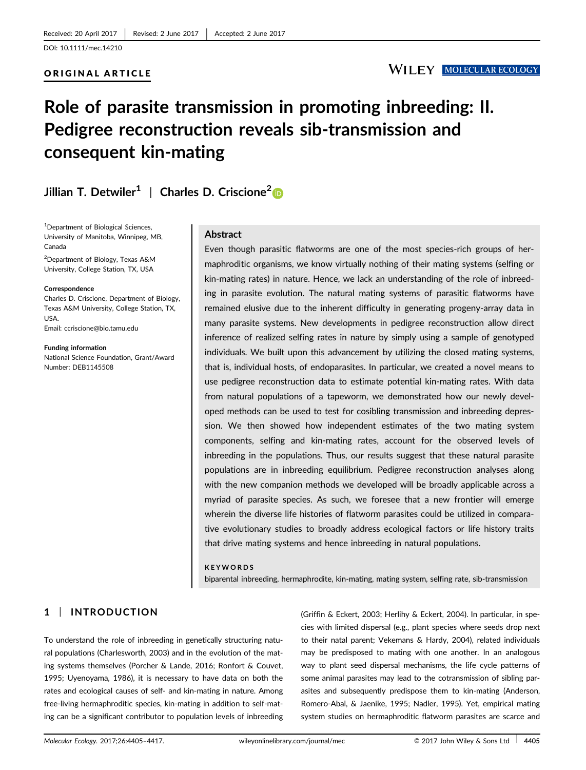#### ORIGINAL ARTICLE

# **WILEY MOLECULAR ECOLOGY**

# Role of parasite transmission in promoting inbreeding: II. Pedigree reconstruction reveals sib-transmission and consequent kin-mating

Jillian T. Detwiler<sup>1</sup> | Charles D. Criscione<sup>[2](http://orcid.org/0000-0001-5968-4716)</sup>

1 Department of Biological Sciences, University of Manitoba, Winnipeg, MB, Canada

2 Department of Biology, Texas A&M University, College Station, TX, USA

#### **Correspondence**

Charles D. Criscione, Department of Biology, Texas A&M University, College Station, TX, USA. Email: ccriscione@bio.tamu.edu

Funding information National Science Foundation, Grant/Award Number: DEB1145508

#### Abstract

Even though parasitic flatworms are one of the most species-rich groups of hermaphroditic organisms, we know virtually nothing of their mating systems (selfing or kin-mating rates) in nature. Hence, we lack an understanding of the role of inbreeding in parasite evolution. The natural mating systems of parasitic flatworms have remained elusive due to the inherent difficulty in generating progeny-array data in many parasite systems. New developments in pedigree reconstruction allow direct inference of realized selfing rates in nature by simply using a sample of genotyped individuals. We built upon this advancement by utilizing the closed mating systems, that is, individual hosts, of endoparasites. In particular, we created a novel means to use pedigree reconstruction data to estimate potential kin-mating rates. With data from natural populations of a tapeworm, we demonstrated how our newly developed methods can be used to test for cosibling transmission and inbreeding depression. We then showed how independent estimates of the two mating system components, selfing and kin-mating rates, account for the observed levels of inbreeding in the populations. Thus, our results suggest that these natural parasite populations are in inbreeding equilibrium. Pedigree reconstruction analyses along with the new companion methods we developed will be broadly applicable across a myriad of parasite species. As such, we foresee that a new frontier will emerge wherein the diverse life histories of flatworm parasites could be utilized in comparative evolutionary studies to broadly address ecological factors or life history traits that drive mating systems and hence inbreeding in natural populations.

#### KEYWORDS

biparental inbreeding, hermaphrodite, kin-mating, mating system, selfing rate, sib-transmission

# 1 | INTRODUCTION

To understand the role of inbreeding in genetically structuring natural populations (Charlesworth, 2003) and in the evolution of the mating systems themselves (Porcher & Lande, 2016; Ronfort & Couvet, 1995; Uyenoyama, 1986), it is necessary to have data on both the rates and ecological causes of self- and kin-mating in nature. Among free-living hermaphroditic species, kin-mating in addition to self-mating can be a significant contributor to population levels of inbreeding

(Griffin & Eckert, 2003; Herlihy & Eckert, 2004). In particular, in species with limited dispersal (e.g., plant species where seeds drop next to their natal parent; Vekemans & Hardy, 2004), related individuals may be predisposed to mating with one another. In an analogous way to plant seed dispersal mechanisms, the life cycle patterns of some animal parasites may lead to the cotransmission of sibling parasites and subsequently predispose them to kin-mating (Anderson, Romero-Abal, & Jaenike, 1995; Nadler, 1995). Yet, empirical mating system studies on hermaphroditic flatworm parasites are scarce and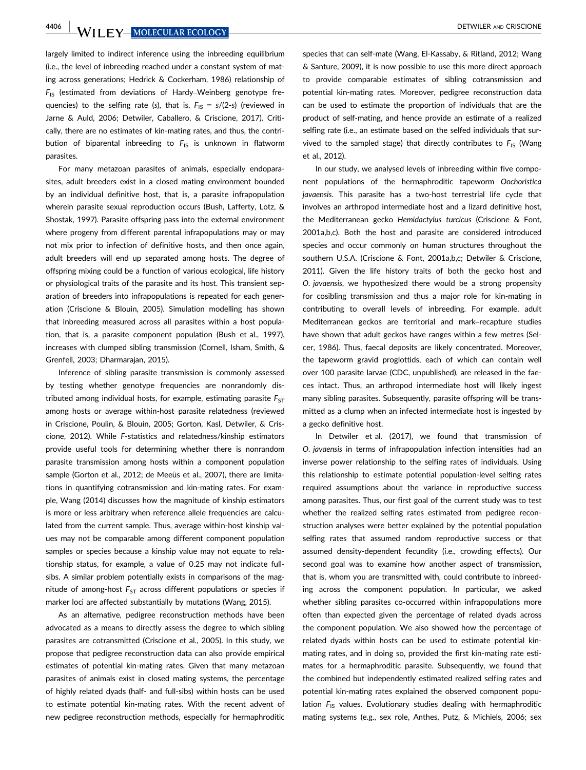4406 WILEY MOLECULAR ECOLOGY DETWILER AND CRISCIONE

largely limited to indirect inference using the inbreeding equilibrium (i.e., the level of inbreeding reached under a constant system of mating across generations; Hedrick & Cockerham, 1986) relationship of  $F_{1S}$  (estimated from deviations of Hardy–Weinberg genotype frequencies) to the selfing rate (s), that is,  $F_{1S} = s/(2-s)$  (reviewed in Jarne & Auld, 2006; Detwiler, Caballero, & Criscione, 2017). Critically, there are no estimates of kin-mating rates, and thus, the contribution of biparental inbreeding to  $F_{1S}$  is unknown in flatworm parasites.

For many metazoan parasites of animals, especially endoparasites, adult breeders exist in a closed mating environment bounded by an individual definitive host, that is, a parasite infrapopulation wherein parasite sexual reproduction occurs (Bush, Lafferty, Lotz, & Shostak, 1997). Parasite offspring pass into the external environment where progeny from different parental infrapopulations may or may not mix prior to infection of definitive hosts, and then once again, adult breeders will end up separated among hosts. The degree of offspring mixing could be a function of various ecological, life history or physiological traits of the parasite and its host. This transient separation of breeders into infrapopulations is repeated for each generation (Criscione & Blouin, 2005). Simulation modelling has shown that inbreeding measured across all parasites within a host population, that is, a parasite component population (Bush et al., 1997), increases with clumped sibling transmission (Cornell, Isham, Smith, & Grenfell, 2003; Dharmarajan, 2015).

Inference of sibling parasite transmission is commonly assessed by testing whether genotype frequencies are nonrandomly distributed among individual hosts, for example, estimating parasite  $F_{ST}$ among hosts or average within-host–parasite relatedness (reviewed in Criscione, Poulin, & Blouin, 2005; Gorton, Kasl, Detwiler, & Criscione, 2012). While F-statistics and relatedness/kinship estimators provide useful tools for determining whether there is nonrandom parasite transmission among hosts within a component population sample (Gorton et al., 2012; de Meeûs et al., 2007), there are limitations in quantifying cotransmission and kin-mating rates. For example, Wang (2014) discusses how the magnitude of kinship estimators is more or less arbitrary when reference allele frequencies are calculated from the current sample. Thus, average within-host kinship values may not be comparable among different component population samples or species because a kinship value may not equate to relationship status, for example, a value of 0.25 may not indicate fullsibs. A similar problem potentially exists in comparisons of the magnitude of among-host  $F_{ST}$  across different populations or species if marker loci are affected substantially by mutations (Wang, 2015).

As an alternative, pedigree reconstruction methods have been advocated as a means to directly assess the degree to which sibling parasites are cotransmitted (Criscione et al., 2005). In this study, we propose that pedigree reconstruction data can also provide empirical estimates of potential kin-mating rates. Given that many metazoan parasites of animals exist in closed mating systems, the percentage of highly related dyads (half- and full-sibs) within hosts can be used to estimate potential kin-mating rates. With the recent advent of new pedigree reconstruction methods, especially for hermaphroditic species that can self-mate (Wang, El-Kassaby, & Ritland, 2012; Wang & Santure, 2009), it is now possible to use this more direct approach to provide comparable estimates of sibling cotransmission and potential kin-mating rates. Moreover, pedigree reconstruction data can be used to estimate the proportion of individuals that are the product of self-mating, and hence provide an estimate of a realized selfing rate (i.e., an estimate based on the selfed individuals that survived to the sampled stage) that directly contributes to  $F_{1S}$  (Wang et al., 2012).

In our study, we analysed levels of inbreeding within five component populations of the hermaphroditic tapeworm Oochoristica javaensis. This parasite has a two-host terrestrial life cycle that involves an arthropod intermediate host and a lizard definitive host, the Mediterranean gecko Hemidactylus turcicus (Criscione & Font, 2001a,b,c). Both the host and parasite are considered introduced species and occur commonly on human structures throughout the southern U.S.A. (Criscione & Font, 2001a,b,c; Detwiler & Criscione, 2011). Given the life history traits of both the gecko host and O. javaensis, we hypothesized there would be a strong propensity for cosibling transmission and thus a major role for kin-mating in contributing to overall levels of inbreeding. For example, adult Mediterranean geckos are territorial and mark–recapture studies have shown that adult geckos have ranges within a few metres (Selcer, 1986). Thus, faecal deposits are likely concentrated. Moreover, the tapeworm gravid proglottids, each of which can contain well over 100 parasite larvae (CDC, unpublished), are released in the faeces intact. Thus, an arthropod intermediate host will likely ingest many sibling parasites. Subsequently, parasite offspring will be transmitted as a clump when an infected intermediate host is ingested by a gecko definitive host.

In Detwiler et al. (2017), we found that transmission of O. javaensis in terms of infrapopulation infection intensities had an inverse power relationship to the selfing rates of individuals. Using this relationship to estimate potential population-level selfing rates required assumptions about the variance in reproductive success among parasites. Thus, our first goal of the current study was to test whether the realized selfing rates estimated from pedigree reconstruction analyses were better explained by the potential population selfing rates that assumed random reproductive success or that assumed density-dependent fecundity (i.e., crowding effects). Our second goal was to examine how another aspect of transmission, that is, whom you are transmitted with, could contribute to inbreeding across the component population. In particular, we asked whether sibling parasites co-occurred within infrapopulations more often than expected given the percentage of related dyads across the component population. We also showed how the percentage of related dyads within hosts can be used to estimate potential kinmating rates, and in doing so, provided the first kin-mating rate estimates for a hermaphroditic parasite. Subsequently, we found that the combined but independently estimated realized selfing rates and potential kin-mating rates explained the observed component population  $F_{1S}$  values. Evolutionary studies dealing with hermaphroditic mating systems (e.g., sex role, Anthes, Putz, & Michiels, 2006; sex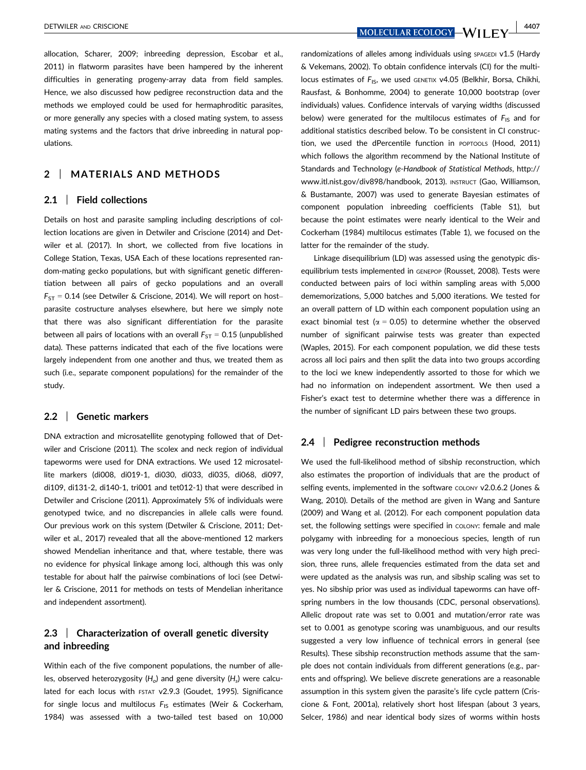DETWILER AND CRISCIONE 4407

allocation, Scharer, 2009; inbreeding depression, Escobar et al., 2011) in flatworm parasites have been hampered by the inherent difficulties in generating progeny-array data from field samples. Hence, we also discussed how pedigree reconstruction data and the methods we employed could be used for hermaphroditic parasites, or more generally any species with a closed mating system, to assess mating systems and the factors that drive inbreeding in natural populations.

#### 2 | MATERIALS AND METHODS

#### 2.1 | Field collections

Details on host and parasite sampling including descriptions of collection locations are given in Detwiler and Criscione (2014) and Detwiler et al. (2017). In short, we collected from five locations in College Station, Texas, USA Each of these locations represented random-mating gecko populations, but with significant genetic differentiation between all pairs of gecko populations and an overall  $F_{ST}$  = 0.14 (see Detwiler & Criscione, 2014). We will report on hostparasite costructure analyses elsewhere, but here we simply note that there was also significant differentiation for the parasite between all pairs of locations with an overall  $F_{ST} = 0.15$  (unpublished data). These patterns indicated that each of the five locations were largely independent from one another and thus, we treated them as such (i.e., separate component populations) for the remainder of the study.

#### 2.2 | Genetic markers

DNA extraction and microsatellite genotyping followed that of Detwiler and Criscione (2011). The scolex and neck region of individual tapeworms were used for DNA extractions. We used 12 microsatellite markers (di008, di019-1, di030, di033, di035, di068, di097, di109, di131-2, di140-1, tri001 and tet012-1) that were described in Detwiler and Criscione (2011). Approximately 5% of individuals were genotyped twice, and no discrepancies in allele calls were found. Our previous work on this system (Detwiler & Criscione, 2011; Detwiler et al., 2017) revealed that all the above-mentioned 12 markers showed Mendelian inheritance and that, where testable, there was no evidence for physical linkage among loci, although this was only testable for about half the pairwise combinations of loci (see Detwiler & Criscione, 2011 for methods on tests of Mendelian inheritance and independent assortment).

## 2.3 | Characterization of overall genetic diversity and inbreeding

Within each of the five component populations, the number of alleles, observed heterozygosity ( $H_o$ ) and gene diversity ( $H_s$ ) were calculated for each locus with FSTAT v2.9.3 (Goudet, 1995). Significance for single locus and multilocus  $F_{1S}$  estimates (Weir & Cockerham, 1984) was assessed with a two-tailed test based on 10,000 randomizations of alleles among individuals using SPAGEDI v1.5 (Hardy & Vekemans, 2002). To obtain confidence intervals (CI) for the multilocus estimates of  $F_{1S}$ , we used GENETIX v4.05 (Belkhir, Borsa, Chikhi, Rausfast, & Bonhomme, 2004) to generate 10,000 bootstrap (over individuals) values. Confidence intervals of varying widths (discussed below) were generated for the multilocus estimates of  $F_{15}$  and for additional statistics described below. To be consistent in CI construction, we used the dPercentile function in POPTOOLS (Hood, 2011) which follows the algorithm recommend by the National Institute of Standards and Technology (e-Handbook of Statistical Methods, [http://](http://www.itl.nist.gov/div898/handbook) [www.itl.nist.gov/div898/handbook](http://www.itl.nist.gov/div898/handbook), 2013). INSTRUCT (Gao, Williamson, & Bustamante, 2007) was used to generate Bayesian estimates of component population inbreeding coefficients (Table S1), but because the point estimates were nearly identical to the Weir and Cockerham (1984) multilocus estimates (Table 1), we focused on the latter for the remainder of the study.

Linkage disequilibrium (LD) was assessed using the genotypic disequilibrium tests implemented in GENEPOP (Rousset, 2008). Tests were conducted between pairs of loci within sampling areas with 5,000 dememorizations, 5,000 batches and 5,000 iterations. We tested for an overall pattern of LD within each component population using an exact binomial test ( $\alpha$  = 0.05) to determine whether the observed number of significant pairwise tests was greater than expected (Waples, 2015). For each component population, we did these tests across all loci pairs and then split the data into two groups according to the loci we knew independently assorted to those for which we had no information on independent assortment. We then used a Fisher's exact test to determine whether there was a difference in the number of significant LD pairs between these two groups.

#### 2.4 | Pedigree reconstruction methods

We used the full-likelihood method of sibship reconstruction, which also estimates the proportion of individuals that are the product of selfing events, implemented in the software COLONY v2.0.6.2 (Jones & Wang, 2010). Details of the method are given in Wang and Santure (2009) and Wang et al. (2012). For each component population data set, the following settings were specified in COLONY: female and male polygamy with inbreeding for a monoecious species, length of run was very long under the full-likelihood method with very high precision, three runs, allele frequencies estimated from the data set and were updated as the analysis was run, and sibship scaling was set to yes. No sibship prior was used as individual tapeworms can have offspring numbers in the low thousands (CDC, personal observations). Allelic dropout rate was set to 0.001 and mutation/error rate was set to 0.001 as genotype scoring was unambiguous, and our results suggested a very low influence of technical errors in general (see Results). These sibship reconstruction methods assume that the sample does not contain individuals from different generations (e.g., parents and offspring). We believe discrete generations are a reasonable assumption in this system given the parasite's life cycle pattern (Criscione & Font, 2001a), relatively short host lifespan (about 3 years, Selcer, 1986) and near identical body sizes of worms within hosts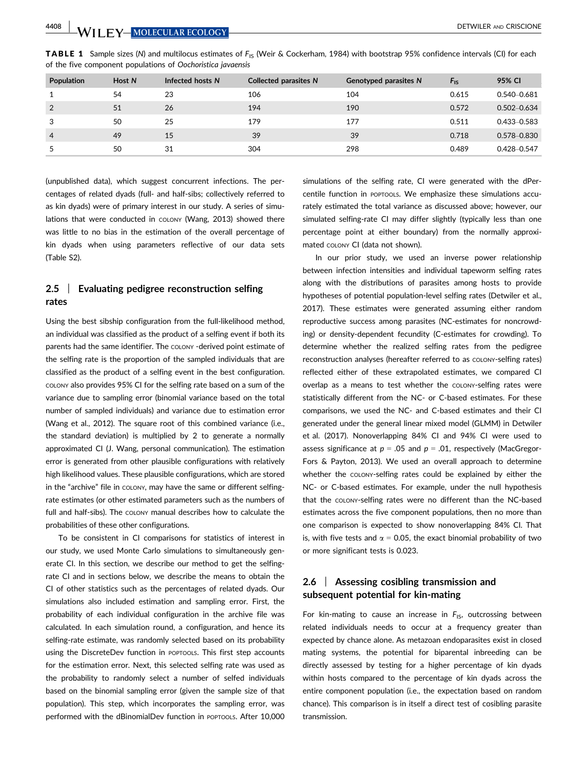| Population     | Host N | Infected hosts N | <b>Collected parasites N</b> | Genotyped parasites N | $F_{\text{IS}}$ | 95% CI          |
|----------------|--------|------------------|------------------------------|-----------------------|-----------------|-----------------|
| 1              | 54     | 23               | 106                          | 104                   | 0.615           | $0.540 - 0.681$ |
| $\overline{2}$ | 51     | 26               | 194                          | 190                   | 0.572           | $0.502 - 0.634$ |
| 3              | 50     | 25               | 179                          | 177                   | 0.511           | 0.433-0.583     |
| $\overline{4}$ | 49     | 15               | 39                           | 39                    | 0.718           | 0.578-0.830     |
| 5              | 50     | 31               | 304                          | 298                   | 0.489           | $0.428 - 0.547$ |

**TABLE 1** Sample sizes (N) and multilocus estimates of  $F_{15}$  (Weir & Cockerham, 1984) with bootstrap 95% confidence intervals (CI) for each of the five component populations of Oochoristica javaensis

(unpublished data), which suggest concurrent infections. The percentages of related dyads (full- and half-sibs; collectively referred to as kin dyads) were of primary interest in our study. A series of simulations that were conducted in COLONY (Wang, 2013) showed there was little to no bias in the estimation of the overall percentage of kin dyads when using parameters reflective of our data sets (Table S2).

## 2.5 | Evaluating pedigree reconstruction selfing rates

Using the best sibship configuration from the full-likelihood method, an individual was classified as the product of a selfing event if both its parents had the same identifier. The COLONY -derived point estimate of the selfing rate is the proportion of the sampled individuals that are classified as the product of a selfing event in the best configuration. COLONY also provides 95% CI for the selfing rate based on a sum of the variance due to sampling error (binomial variance based on the total number of sampled individuals) and variance due to estimation error (Wang et al., 2012). The square root of this combined variance (i.e., the standard deviation) is multiplied by 2 to generate a normally approximated CI (J. Wang, personal communication). The estimation error is generated from other plausible configurations with relatively high likelihood values. These plausible configurations, which are stored in the "archive" file in COLONY, may have the same or different selfingrate estimates (or other estimated parameters such as the numbers of full and half-sibs). The COLONY manual describes how to calculate the probabilities of these other configurations.

To be consistent in CI comparisons for statistics of interest in our study, we used Monte Carlo simulations to simultaneously generate CI. In this section, we describe our method to get the selfingrate CI and in sections below, we describe the means to obtain the CI of other statistics such as the percentages of related dyads. Our simulations also included estimation and sampling error. First, the probability of each individual configuration in the archive file was calculated. In each simulation round, a configuration, and hence its selfing-rate estimate, was randomly selected based on its probability using the DiscreteDev function in POPTOOLS. This first step accounts for the estimation error. Next, this selected selfing rate was used as the probability to randomly select a number of selfed individuals based on the binomial sampling error (given the sample size of that population). This step, which incorporates the sampling error, was performed with the dBinomialDev function in POPTOOLS. After 10,000 simulations of the selfing rate, CI were generated with the dPercentile function in POPTOOLS. We emphasize these simulations accurately estimated the total variance as discussed above; however, our simulated selfing-rate CI may differ slightly (typically less than one percentage point at either boundary) from the normally approximated COLONY CI (data not shown).

In our prior study, we used an inverse power relationship between infection intensities and individual tapeworm selfing rates along with the distributions of parasites among hosts to provide hypotheses of potential population-level selfing rates (Detwiler et al., 2017). These estimates were generated assuming either random reproductive success among parasites (NC-estimates for noncrowding) or density-dependent fecundity (C-estimates for crowding). To determine whether the realized selfing rates from the pedigree reconstruction analyses (hereafter referred to as COLONY-selfing rates) reflected either of these extrapolated estimates, we compared CI overlap as a means to test whether the COLONY-selfing rates were statistically different from the NC- or C-based estimates. For these comparisons, we used the NC- and C-based estimates and their CI generated under the general linear mixed model (GLMM) in Detwiler et al. (2017). Nonoverlapping 84% CI and 94% CI were used to assess significance at  $p = .05$  and  $p = .01$ , respectively (MacGregor-Fors & Payton, 2013). We used an overall approach to determine whether the COLONY-selfing rates could be explained by either the NC- or C-based estimates. For example, under the null hypothesis that the COLONY-selfing rates were no different than the NC-based estimates across the five component populations, then no more than one comparison is expected to show nonoverlapping 84% CI. That is, with five tests and  $\alpha$  = 0.05, the exact binomial probability of two or more significant tests is 0.023.

## 2.6 | Assessing cosibling transmission and subsequent potential for kin-mating

For kin-mating to cause an increase in  $F_{1S}$ , outcrossing between related individuals needs to occur at a frequency greater than expected by chance alone. As metazoan endoparasites exist in closed mating systems, the potential for biparental inbreeding can be directly assessed by testing for a higher percentage of kin dyads within hosts compared to the percentage of kin dyads across the entire component population (i.e., the expectation based on random chance). This comparison is in itself a direct test of cosibling parasite transmission.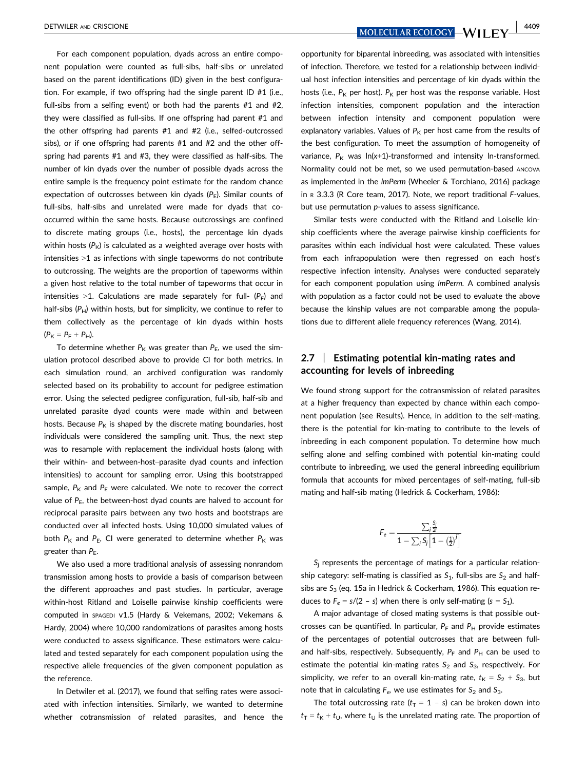For each component population, dyads across an entire component population were counted as full-sibs, half-sibs or unrelated based on the parent identifications (ID) given in the best configuration. For example, if two offspring had the single parent ID #1 (i.e., full-sibs from a selfing event) or both had the parents #1 and #2, they were classified as full-sibs. If one offspring had parent #1 and the other offspring had parents #1 and #2 (i.e., selfed-outcrossed sibs), or if one offspring had parents #1 and #2 and the other offspring had parents #1 and #3, they were classified as half-sibs. The number of kin dyads over the number of possible dyads across the entire sample is the frequency point estimate for the random chance expectation of outcrosses between kin dyads  $(P_F)$ . Similar counts of full-sibs, half-sibs and unrelated were made for dyads that cooccurred within the same hosts. Because outcrossings are confined to discrete mating groups (i.e., hosts), the percentage kin dyads within hosts  $(P_K)$  is calculated as a weighted average over hosts with intensities >1 as infections with single tapeworms do not contribute to outcrossing. The weights are the proportion of tapeworms within a given host relative to the total number of tapeworms that occur in intensities >1. Calculations are made separately for full-  $(P_F)$  and half-sibs  $(P_H)$  within hosts, but for simplicity, we continue to refer to them collectively as the percentage of kin dyads within hosts  $(P_{K} = P_{F} + P_{H}).$ 

To determine whether  $P_K$  was greater than  $P_E$ , we used the simulation protocol described above to provide CI for both metrics. In each simulation round, an archived configuration was randomly selected based on its probability to account for pedigree estimation error. Using the selected pedigree configuration, full-sib, half-sib and unrelated parasite dyad counts were made within and between hosts. Because  $P_K$  is shaped by the discrete mating boundaries, host individuals were considered the sampling unit. Thus, the next step was to resample with replacement the individual hosts (along with their within- and between-host–parasite dyad counts and infection intensities) to account for sampling error. Using this bootstrapped sample,  $P_K$  and  $P_E$  were calculated. We note to recover the correct value of  $P_F$ , the between-host dyad counts are halved to account for reciprocal parasite pairs between any two hosts and bootstraps are conducted over all infected hosts. Using 10,000 simulated values of both  $P_K$  and  $P_E$ , CI were generated to determine whether  $P_K$  was greater than  $P_E$ .

We also used a more traditional analysis of assessing nonrandom transmission among hosts to provide a basis of comparison between the different approaches and past studies. In particular, average within-host Ritland and Loiselle pairwise kinship coefficients were computed in SPAGEDI v1.5 (Hardy & Vekemans, 2002; Vekemans & Hardy, 2004) where 10,000 randomizations of parasites among hosts were conducted to assess significance. These estimators were calculated and tested separately for each component population using the respective allele frequencies of the given component population as the reference.

In Detwiler et al. (2017), we found that selfing rates were associated with infection intensities. Similarly, we wanted to determine whether cotransmission of related parasites, and hence the

DETWILER AND CRISCIONE **AND CRISCIONE** 

opportunity for biparental inbreeding, was associated with intensities of infection. Therefore, we tested for a relationship between individual host infection intensities and percentage of kin dyads within the hosts (i.e.,  $P_K$  per host).  $P_K$  per host was the response variable. Host infection intensities, component population and the interaction between infection intensity and component population were explanatory variables. Values of  $P<sub>K</sub>$  per host came from the results of the best configuration. To meet the assumption of homogeneity of variance,  $P_K$  was  $ln(x+1)$ -transformed and intensity In-transformed. Normality could not be met, so we used permutation-based ANCOVA as implemented in the lmPerm (Wheeler & Torchiano, 2016) package in <sup>R</sup> 3.3.3 (R Core team, 2017). Note, we report traditional F-values, but use permutation p-values to assess significance.

Similar tests were conducted with the Ritland and Loiselle kinship coefficients where the average pairwise kinship coefficients for parasites within each individual host were calculated. These values from each infrapopulation were then regressed on each host's respective infection intensity. Analyses were conducted separately for each component population using lmPerm. A combined analysis with population as a factor could not be used to evaluate the above because the kinship values are not comparable among the populations due to different allele frequency references (Wang, 2014).

## 2.7 | Estimating potential kin-mating rates and accounting for levels of inbreeding

We found strong support for the cotransmission of related parasites at a higher frequency than expected by chance within each component population (see Results). Hence, in addition to the self-mating, there is the potential for kin-mating to contribute to the levels of inbreeding in each component population. To determine how much selfing alone and selfing combined with potential kin-mating could contribute to inbreeding, we used the general inbreeding equilibrium formula that accounts for mixed percentages of self-mating, full-sib mating and half-sib mating (Hedrick & Cockerham, 1986):

$$
F_e = \frac{\sum_j \frac{S_j}{2^j}}{1 - \sum_j S_j \Big[1 - \big(\frac{1}{2}\big)^j\Big]}
$$

 $S_i$  represents the percentage of matings for a particular relationship category: self-mating is classified as  $S_1$ , full-sibs are  $S_2$  and halfsibs are  $S_3$  (eq. 15a in Hedrick & Cockerham, 1986). This equation reduces to  $F_e = s/(2 - s)$  when there is only self-mating (s = S<sub>1</sub>).

A major advantage of closed mating systems is that possible outcrosses can be quantified. In particular,  $P_F$  and  $P_H$  provide estimates of the percentages of potential outcrosses that are between fulland half-sibs, respectively. Subsequently,  $P_F$  and  $P_H$  can be used to estimate the potential kin-mating rates  $S_2$  and  $S_3$ , respectively. For simplicity, we refer to an overall kin-mating rate,  $t_K = S_2 + S_3$ , but note that in calculating  $F_e$ , we use estimates for  $S_2$  and  $S_3$ .

The total outcrossing rate  $(t_T = 1 - s)$  can be broken down into  $t_T = t_K + t_U$ , where  $t_U$  is the unrelated mating rate. The proportion of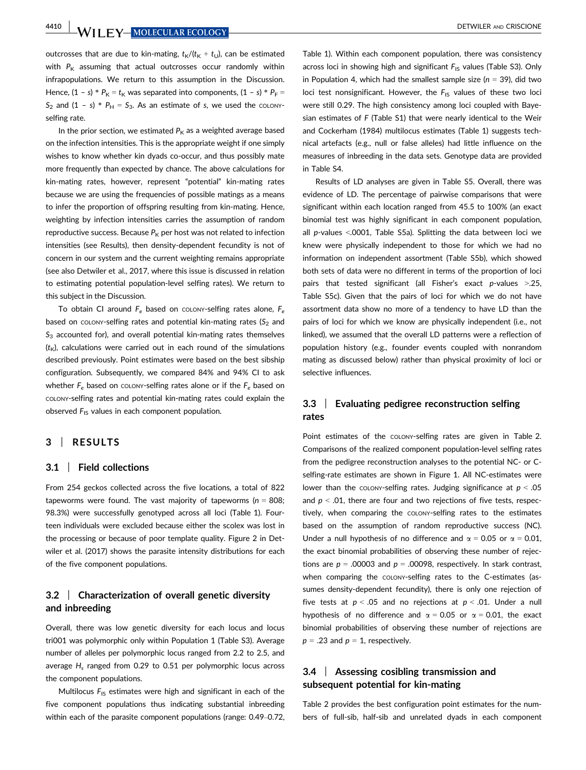4410 WII FY MOLECULAR ECOLOGY DETWILER AND CRISCIONE

outcrosses that are due to kin-mating,  $t_K/(t_K + t_U)$ , can be estimated with  $P_K$  assuming that actual outcrosses occur randomly within infrapopulations. We return to this assumption in the Discussion. Hence,  $(1 - s) * P_K = t_K$  was separated into components,  $(1 - s) * P_F =$  $S_2$  and  $(1 - s) * P_H = S_3$ . As an estimate of s, we used the COLONYselfing rate.

In the prior section, we estimated  $P<sub>K</sub>$  as a weighted average based on the infection intensities. This is the appropriate weight if one simply wishes to know whether kin dyads co-occur, and thus possibly mate more frequently than expected by chance. The above calculations for kin-mating rates, however, represent "potential" kin-mating rates because we are using the frequencies of possible matings as a means to infer the proportion of offspring resulting from kin-mating. Hence, weighting by infection intensities carries the assumption of random reproductive success. Because  $P_K$  per host was not related to infection intensities (see Results), then density-dependent fecundity is not of concern in our system and the current weighting remains appropriate (see also Detwiler et al., 2017, where this issue is discussed in relation to estimating potential population-level selfing rates). We return to this subject in the Discussion.

To obtain CI around  $F_e$  based on colony-selfing rates alone,  $F_e$ based on  $\text{conv}\text{-}$ selfing rates and potential kin-mating rates (S<sub>2</sub> and  $S_3$  accounted for), and overall potential kin-mating rates themselves  $(t<sub>K</sub>)$ , calculations were carried out in each round of the simulations described previously. Point estimates were based on the best sibship configuration. Subsequently, we compared 84% and 94% CI to ask whether  $F_e$  based on colony-selfing rates alone or if the  $F_e$  based on COLONY-selfing rates and potential kin-mating rates could explain the observed  $F_{1S}$  values in each component population.

### 3 | RESULTS

#### 3.1 | Field collections

From 254 geckos collected across the five locations, a total of 822 tapeworms were found. The vast majority of tapeworms ( $n = 808$ ; 98.3%) were successfully genotyped across all loci (Table 1). Fourteen individuals were excluded because either the scolex was lost in the processing or because of poor template quality. Figure 2 in Detwiler et al. (2017) shows the parasite intensity distributions for each of the five component populations.

## 3.2 | Characterization of overall genetic diversity and inbreeding

Overall, there was low genetic diversity for each locus and locus tri001 was polymorphic only within Population 1 (Table S3). Average number of alleles per polymorphic locus ranged from 2.2 to 2.5, and average  $H_s$  ranged from 0.29 to 0.51 per polymorphic locus across the component populations.

Multilocus  $F_{1S}$  estimates were high and significant in each of the five component populations thus indicating substantial inbreeding within each of the parasite component populations (range: 0.49–0.72,

Table 1). Within each component population, there was consistency across loci in showing high and significant  $F_{15}$  values (Table S3). Only in Population 4, which had the smallest sample size ( $n = 39$ ), did two loci test nonsignificant. However, the  $F_{1S}$  values of these two loci were still 0.29. The high consistency among loci coupled with Bayesian estimates of F (Table S1) that were nearly identical to the Weir and Cockerham (1984) multilocus estimates (Table 1) suggests technical artefacts (e.g., null or false alleles) had little influence on the measures of inbreeding in the data sets. Genotype data are provided in Table S4.

Results of LD analyses are given in Table S5. Overall, there was evidence of LD. The percentage of pairwise comparisons that were significant within each location ranged from 45.5 to 100% (an exact binomial test was highly significant in each component population, all  $p$ -values <.0001, Table S5a). Splitting the data between loci we knew were physically independent to those for which we had no information on independent assortment (Table S5b), which showed both sets of data were no different in terms of the proportion of loci pairs that tested significant (all Fisher's exact p-values >.25, Table S5c). Given that the pairs of loci for which we do not have assortment data show no more of a tendency to have LD than the pairs of loci for which we know are physically independent (i.e., not linked), we assumed that the overall LD patterns were a reflection of population history (e.g., founder events coupled with nonrandom mating as discussed below) rather than physical proximity of loci or selective influences.

## 3.3 | Evaluating pedigree reconstruction selfing rates

Point estimates of the COLONY-selfing rates are given in Table 2. Comparisons of the realized component population-level selfing rates from the pedigree reconstruction analyses to the potential NC- or Cselfing-rate estimates are shown in Figure 1. All NC-estimates were lower than the colony-selfing rates. Judging significance at  $p < .05$ and  $p < .01$ , there are four and two rejections of five tests, respectively, when comparing the COLONY-selfing rates to the estimates based on the assumption of random reproductive success (NC). Under a null hypothesis of no difference and  $\alpha = 0.05$  or  $\alpha = 0.01$ , the exact binomial probabilities of observing these number of rejections are  $p = .00003$  and  $p = .00098$ , respectively. In stark contrast, when comparing the COLONY-selfing rates to the C-estimates (assumes density-dependent fecundity), there is only one rejection of five tests at  $p < .05$  and no rejections at  $p < .01$ . Under a null hypothesis of no difference and  $\alpha = 0.05$  or  $\alpha = 0.01$ , the exact binomial probabilities of observing these number of rejections are  $p = .23$  and  $p = 1$ , respectively.

## 3.4 | Assessing cosibling transmission and subsequent potential for kin-mating

Table 2 provides the best configuration point estimates for the numbers of full-sib, half-sib and unrelated dyads in each component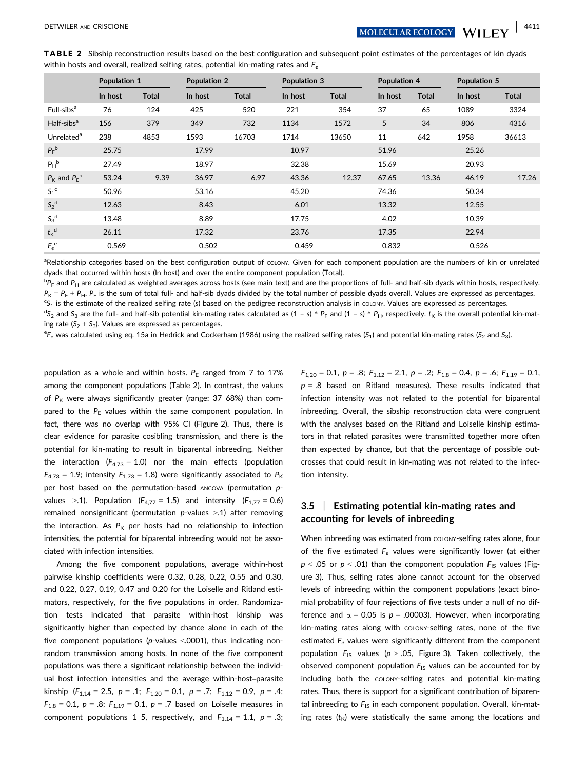|                                     | Population 1 |              | <b>Population 2</b> |              | Population 3 |       | <b>Population 4</b> |              | Population 5 |              |
|-------------------------------------|--------------|--------------|---------------------|--------------|--------------|-------|---------------------|--------------|--------------|--------------|
|                                     | In host      | <b>Total</b> | In host             | <b>Total</b> | In host      | Total | In host             | <b>Total</b> | In host      | <b>Total</b> |
| Full-sibs <sup>a</sup>              | 76           | 124          | 425                 | 520          | 221          | 354   | 37                  | 65           | 1089         | 3324         |
| Half-sibs $a$                       | 156          | 379          | 349                 | 732          | 1134         | 1572  | 5                   | 34           | 806          | 4316         |
| Unrelated <sup>a</sup>              | 238          | 4853         | 1593                | 16703        | 1714         | 13650 | 11                  | 642          | 1958         | 36613        |
| $P_F^{\ b}$                         | 25.75        |              | 17.99               |              | 10.97        |       | 51.96               |              | 25.26        |              |
| $P_H^{\ b}$                         | 27.49        |              | 18.97               |              | 32.38        |       | 15.69               |              | 20.93        |              |
| $P_{\rm K}$ and $P_{\rm F}^{\rm b}$ | 53.24        | 9.39         | 36.97               | 6.97         | 43.36        | 12.37 | 67.65               | 13.36        | 46.19        | 17.26        |
| $S_1^c$                             | 50.96        |              | 53.16               |              | 45.20        |       | 74.36               |              | 50.34        |              |
| $S_2^{\ d}$                         | 12.63        |              | 8.43                |              | 6.01         |       | 13.32               |              | 12.55        |              |
| $S_3^{\ d}$                         | 13.48        |              | 8.89                |              | 17.75        |       | 4.02                |              | 10.39        |              |
| $t_{\rm K}^{\;\;{\rm d}}$           | 26.11        |              | 17.32               |              | 23.76        |       | 17.35               |              | 22.94        |              |
| $F_e^{\ e}$                         | 0.569        |              | 0.502               |              | 0.459        |       | 0.832               |              | 0.526        |              |

aRelationship categories based on the best configuration output of colony. Given for each component population are the numbers of kin or unrelated dyads that occurred within hosts (In host) and over the entire component population (Total).

 $^{\rm b}$ P<sub>F</sub> and P<sub>H</sub> are calculated as weighted averages across hosts (see main text) and are the proportions of full- and half-sib dyads within hosts, respectively.  $P_K = P_F + P_H$ .  $P_F$  is the sum of total full- and half-sib dyads divided by the total number of possible dyads overall. Values are expressed as percentages.  $c_{S_1}$  is the estimate of the realized selfing rate (s) based on the pedigree reconstruction analysis in  $_{\rm COONY}$ . Values are expressed as percentages.

 $^{\text{d}}S_2$  and  $S_3$  are the full- and half-sib potential kin-mating rates calculated as (1 – s) \*  $P_{\sf F}$  and (1 – s) \*  $P_{\sf H}$ , respectively.  ${\sf t}_{\sf K}$  is the overall potential kin-mating rate  $(S_2 + S_3)$ . Values are expressed as percentages.

 $^{\rm e}$ F $_{e}$  was calculated using eq. 15a in Hedrick and Cockerham (1986) using the realized selfing rates (S<sub>1</sub>) and potential kin-mating rates (S<sub>2</sub> and S<sub>3</sub>).

population as a whole and within hosts.  $P_{E}$  ranged from 7 to 17% among the component populations (Table 2). In contrast, the values of  $P_K$  were always significantly greater (range: 37–68%) than compared to the  $P_E$  values within the same component population. In fact, there was no overlap with 95% CI (Figure 2). Thus, there is clear evidence for parasite cosibling transmission, and there is the potential for kin-mating to result in biparental inbreeding. Neither the interaction  $(F_{4,73} = 1.0)$  nor the main effects (population  $F_{4,73}$  = 1.9; intensity  $F_{1,73}$  = 1.8) were significantly associated to  $P_{\rm K}$ per host based on the permutation-based ANCOVA (permutation pvalues >.1). Population  $(F_{4,77} = 1.5)$  and intensity  $(F_{1,77} = 0.6)$ remained nonsignificant (permutation  $p$ -values  $>1$ ) after removing the interaction. As  $P_K$  per hosts had no relationship to infection intensities, the potential for biparental inbreeding would not be associated with infection intensities.

Among the five component populations, average within-host pairwise kinship coefficients were 0.32, 0.28, 0.22, 0.55 and 0.30, and 0.22, 0.27, 0.19, 0.47 and 0.20 for the Loiselle and Ritland estimators, respectively, for the five populations in order. Randomization tests indicated that parasite within-host kinship was significantly higher than expected by chance alone in each of the five component populations (p-values <.0001), thus indicating nonrandom transmission among hosts. In none of the five component populations was there a significant relationship between the individual host infection intensities and the average within-host–parasite kinship  $(F_{1,14} = 2.5, p = .1; F_{1,20} = 0.1, p = .7; F_{1,12} = 0.9, p = .4;$  $F_{1,8} = 0.1, p = .8; F_{1,19} = 0.1, p = .7$  based on Loiselle measures in component populations 1–5, respectively, and  $F_{1,14} = 1.1$ ,  $p = .3$ ;  $F_{1,20} = 0.1, p = .8; F_{1,12} = 2.1, p = .2; F_{1,8} = 0.4, p = .6; F_{1,19} = 0.1,$  $p = .8$  based on Ritland measures). These results indicated that infection intensity was not related to the potential for biparental inbreeding. Overall, the sibship reconstruction data were congruent with the analyses based on the Ritland and Loiselle kinship estimators in that related parasites were transmitted together more often than expected by chance, but that the percentage of possible outcrosses that could result in kin-mating was not related to the infection intensity.

## 3.5 | Estimating potential kin-mating rates and accounting for levels of inbreeding

When inbreeding was estimated from COLONY-selfing rates alone, four of the five estimated  $F_e$  values were significantly lower (at either  $p < .05$  or  $p < .01$ ) than the component population  $F_{15}$  values (Figure 3). Thus, selfing rates alone cannot account for the observed levels of inbreeding within the component populations (exact binomial probability of four rejections of five tests under a null of no difference and  $\alpha = 0.05$  is  $p = .00003$ ). However, when incorporating kin-mating rates along with COLONY-selfing rates, none of the five estimated  $F_e$  values were significantly different from the component population  $F_{1S}$  values ( $p > .05$ , Figure 3). Taken collectively, the observed component population  $F_{1S}$  values can be accounted for by including both the COLONY-selfing rates and potential kin-mating rates. Thus, there is support for a significant contribution of biparental inbreeding to  $F_{1S}$  in each component population. Overall, kin-mating rates  $(t<sub>K</sub>)$  were statistically the same among the locations and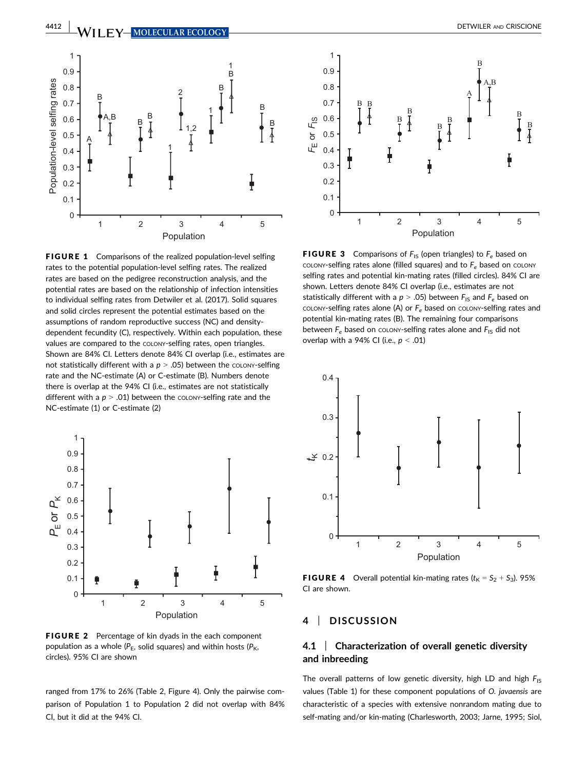

FIGURE 1 Comparisons of the realized population-level selfing rates to the potential population-level selfing rates. The realized rates are based on the pedigree reconstruction analysis, and the potential rates are based on the relationship of infection intensities to individual selfing rates from Detwiler et al. (2017). Solid squares and solid circles represent the potential estimates based on the assumptions of random reproductive success (NC) and densitydependent fecundity (C), respectively. Within each population, these values are compared to the COLONY-selfing rates, open triangles. Shown are 84% CI. Letters denote 84% CI overlap (i.e., estimates are not statistically different with a  $p > .05$ ) between the COLONY-selfing rate and the NC-estimate (A) or C-estimate (B). Numbers denote there is overlap at the 94% CI (i.e., estimates are not statistically different with a  $p > .01$ ) between the COLONY-selfing rate and the NC-estimate (1) or C-estimate (2)



FIGURE 2 Percentage of kin dyads in the each component population as a whole ( $P_E$ , solid squares) and within hosts ( $P_K$ , circles). 95% CI are shown

ranged from 17% to 26% (Table 2, Figure 4). Only the pairwise comparison of Population 1 to Population 2 did not overlap with 84% CI, but it did at the 94% CI.



**FIGURE 3** Comparisons of  $F_{1S}$  (open triangles) to  $F_e$  based on COLONY-selfing rates alone (filled squares) and to  $F_e$  based on COLONY selfing rates and potential kin-mating rates (filled circles). 84% CI are shown. Letters denote 84% CI overlap (i.e., estimates are not statistically different with a  $p > .05$ ) between  $F_{15}$  and  $F_e$  based on COLONY-selfing rates alone (A) or  $F_e$  based on COLONY-selfing rates and potential kin-mating rates (B). The remaining four comparisons between  $F_e$  based on colony-selfing rates alone and  $F_{1S}$  did not overlap with a 94% CI (i.e.,  $p < .01$ )



**FIGURE 4** Overall potential kin-mating rates  $(t_K = S_2 + S_3)$ . 95% CI are shown.

## 4 | DISCUSSION

## 4.1 | Characterization of overall genetic diversity and inbreeding

The overall patterns of low genetic diversity, high LD and high  $F_{1S}$ values (Table 1) for these component populations of O. javaensis are characteristic of a species with extensive nonrandom mating due to self-mating and/or kin-mating (Charlesworth, 2003; Jarne, 1995; Siol,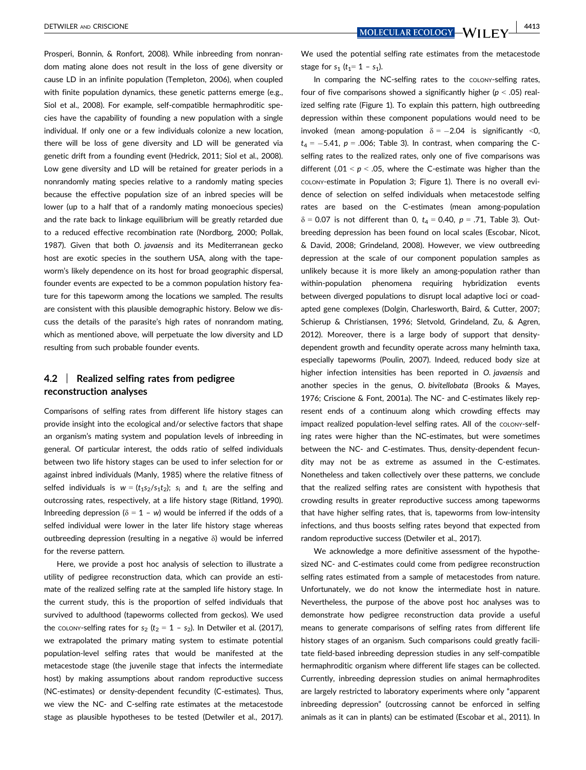Prosperi, Bonnin, & Ronfort, 2008). While inbreeding from nonrandom mating alone does not result in the loss of gene diversity or cause LD in an infinite population (Templeton, 2006), when coupled with finite population dynamics, these genetic patterns emerge (e.g., Siol et al., 2008). For example, self-compatible hermaphroditic species have the capability of founding a new population with a single individual. If only one or a few individuals colonize a new location, there will be loss of gene diversity and LD will be generated via genetic drift from a founding event (Hedrick, 2011; Siol et al., 2008). Low gene diversity and LD will be retained for greater periods in a nonrandomly mating species relative to a randomly mating species because the effective population size of an inbred species will be lower (up to a half that of a randomly mating monoecious species) and the rate back to linkage equilibrium will be greatly retarded due to a reduced effective recombination rate (Nordborg, 2000; Pollak, 1987). Given that both O. javaensis and its Mediterranean gecko host are exotic species in the southern USA, along with the tapeworm's likely dependence on its host for broad geographic dispersal, founder events are expected to be a common population history feature for this tapeworm among the locations we sampled. The results are consistent with this plausible demographic history. Below we discuss the details of the parasite's high rates of nonrandom mating, which as mentioned above, will perpetuate the low diversity and LD resulting from such probable founder events.

## 4.2 | Realized selfing rates from pedigree reconstruction analyses

Comparisons of selfing rates from different life history stages can provide insight into the ecological and/or selective factors that shape an organism's mating system and population levels of inbreeding in general. Of particular interest, the odds ratio of selfed individuals between two life history stages can be used to infer selection for or against inbred individuals (Manly, 1985) where the relative fitness of selfed individuals is  $w = (t_1s_2/s_1t_2); s_i$  and  $t_i$  are the selfing and outcrossing rates, respectively, at a life history stage (Ritland, 1990). Inbreeding depression ( $\delta = 1 - w$ ) would be inferred if the odds of a selfed individual were lower in the later life history stage whereas outbreeding depression (resulting in a negative  $\delta$ ) would be inferred for the reverse pattern.

Here, we provide a post hoc analysis of selection to illustrate a utility of pedigree reconstruction data, which can provide an estimate of the realized selfing rate at the sampled life history stage. In the current study, this is the proportion of selfed individuals that survived to adulthood (tapeworms collected from geckos). We used the colony-selfing rates for  $s_2$  ( $t_2 = 1 - s_2$ ). In Detwiler et al. (2017), we extrapolated the primary mating system to estimate potential population-level selfing rates that would be manifested at the metacestode stage (the juvenile stage that infects the intermediate host) by making assumptions about random reproductive success (NC-estimates) or density-dependent fecundity (C-estimates). Thus, we view the NC- and C-selfing rate estimates at the metacestode stage as plausible hypotheses to be tested (Detwiler et al., 2017).

DETWILER AND CRISCIONE | 4413

We used the potential selfing rate estimates from the metacestode stage for  $s_1$  ( $t_1= 1 - s_1$ ).

In comparing the NC-selfing rates to the COLONY-selfing rates, four of five comparisons showed a significantly higher ( $p < .05$ ) realized selfing rate (Figure 1). To explain this pattern, high outbreeding depression within these component populations would need to be invoked (mean among-population  $\delta = -2.04$  is significantly <0,  $t_4 = -5.41$ ,  $p = .006$ ; Table 3). In contrast, when comparing the Cselfing rates to the realized rates, only one of five comparisons was different (.01  $\leq$   $p \leq$  .05, where the C-estimate was higher than the COLONY-estimate in Population 3; Figure 1). There is no overall evidence of selection on selfed individuals when metacestode selfing rates are based on the C-estimates (mean among-population  $\delta$  = 0.07 is not different than 0,  $t_4$  = 0.40,  $p$  = .71, Table 3). Outbreeding depression has been found on local scales (Escobar, Nicot, & David, 2008; Grindeland, 2008). However, we view outbreeding depression at the scale of our component population samples as unlikely because it is more likely an among-population rather than within-population phenomena requiring hybridization events between diverged populations to disrupt local adaptive loci or coadapted gene complexes (Dolgin, Charlesworth, Baird, & Cutter, 2007; Schierup & Christiansen, 1996; Sletvold, Grindeland, Zu, & Agren, 2012). Moreover, there is a large body of support that densitydependent growth and fecundity operate across many helminth taxa, especially tapeworms (Poulin, 2007). Indeed, reduced body size at higher infection intensities has been reported in O. javaensis and another species in the genus, O. bivitellobata (Brooks & Mayes, 1976; Criscione & Font, 2001a). The NC- and C-estimates likely represent ends of a continuum along which crowding effects may impact realized population-level selfing rates. All of the COLONY-selfing rates were higher than the NC-estimates, but were sometimes between the NC- and C-estimates. Thus, density-dependent fecundity may not be as extreme as assumed in the C-estimates. Nonetheless and taken collectively over these patterns, we conclude that the realized selfing rates are consistent with hypothesis that crowding results in greater reproductive success among tapeworms that have higher selfing rates, that is, tapeworms from low-intensity infections, and thus boosts selfing rates beyond that expected from random reproductive success (Detwiler et al., 2017).

We acknowledge a more definitive assessment of the hypothesized NC- and C-estimates could come from pedigree reconstruction selfing rates estimated from a sample of metacestodes from nature. Unfortunately, we do not know the intermediate host in nature. Nevertheless, the purpose of the above post hoc analyses was to demonstrate how pedigree reconstruction data provide a useful means to generate comparisons of selfing rates from different life history stages of an organism. Such comparisons could greatly facilitate field-based inbreeding depression studies in any self-compatible hermaphroditic organism where different life stages can be collected. Currently, inbreeding depression studies on animal hermaphrodites are largely restricted to laboratory experiments where only "apparent inbreeding depression" (outcrossing cannot be enforced in selfing animals as it can in plants) can be estimated (Escobar et al., 2011). In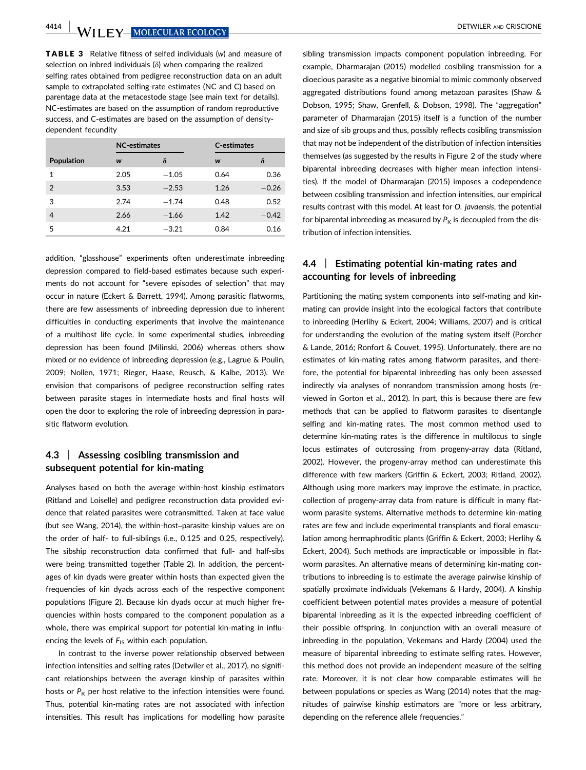**4414 WII FY MOLECULAR ECOLOGY** DETWILER AND CRISCIONE

TABLE 3 Relative fitness of selfed individuals (w) and measure of selection on inbred individuals  $(\delta)$  when comparing the realized selfing rates obtained from pedigree reconstruction data on an adult sample to extrapolated selfing-rate estimates (NC and C) based on parentage data at the metacestode stage (see main text for details). NC-estimates are based on the assumption of random reproductive success, and C-estimates are based on the assumption of densitydependent fecundity

|                | <b>NC-estimates</b> |         | C-estimates |         |
|----------------|---------------------|---------|-------------|---------|
| Population     | W                   | δ       | W           | δ       |
| 1              | 2.05                | $-1.05$ | 0.64        | 0.36    |
| 2              | 3.53                | $-2.53$ | 1.26        | $-0.26$ |
| 3              | 2.74                | $-1.74$ | 0.48        | 0.52    |
| $\overline{4}$ | 2.66                | $-1.66$ | 1.42        | $-0.42$ |
| 5              | 4.21                | $-3.21$ | 0.84        | 0.16    |

addition, "glasshouse" experiments often underestimate inbreeding depression compared to field-based estimates because such experiments do not account for "severe episodes of selection" that may occur in nature (Eckert & Barrett, 1994). Among parasitic flatworms, there are few assessments of inbreeding depression due to inherent difficulties in conducting experiments that involve the maintenance of a multihost life cycle. In some experimental studies, inbreeding depression has been found (Milinski, 2006) whereas others show mixed or no evidence of inbreeding depression (e.g., Lagrue & Poulin, 2009; Nollen, 1971; Rieger, Haase, Reusch, & Kalbe, 2013). We envision that comparisons of pedigree reconstruction selfing rates between parasite stages in intermediate hosts and final hosts will open the door to exploring the role of inbreeding depression in parasitic flatworm evolution.

## 4.3 | Assessing cosibling transmission and subsequent potential for kin-mating

Analyses based on both the average within-host kinship estimators (Ritland and Loiselle) and pedigree reconstruction data provided evidence that related parasites were cotransmitted. Taken at face value (but see Wang, 2014), the within-host–parasite kinship values are on the order of half- to full-siblings (i.e., 0.125 and 0.25, respectively). The sibship reconstruction data confirmed that full- and half-sibs were being transmitted together (Table 2). In addition, the percentages of kin dyads were greater within hosts than expected given the frequencies of kin dyads across each of the respective component populations (Figure 2). Because kin dyads occur at much higher frequencies within hosts compared to the component population as a whole, there was empirical support for potential kin-mating in influencing the levels of  $F_{1S}$  within each population.

In contrast to the inverse power relationship observed between infection intensities and selfing rates (Detwiler et al., 2017), no significant relationships between the average kinship of parasites within hosts or  $P<sub>K</sub>$  per host relative to the infection intensities were found. Thus, potential kin-mating rates are not associated with infection intensities. This result has implications for modelling how parasite sibling transmission impacts component population inbreeding. For example, Dharmarajan (2015) modelled cosibling transmission for a dioecious parasite as a negative binomial to mimic commonly observed aggregated distributions found among metazoan parasites (Shaw & Dobson, 1995; Shaw, Grenfell, & Dobson, 1998). The "aggregation" parameter of Dharmarajan (2015) itself is a function of the number and size of sib groups and thus, possibly reflects cosibling transmission that may not be independent of the distribution of infection intensities themselves (as suggested by the results in Figure 2 of the study where biparental inbreeding decreases with higher mean infection intensities). If the model of Dharmarajan (2015) imposes a codependence between cosibling transmission and infection intensities, our empirical results contrast with this model. At least for O. javaensis, the potential for biparental inbreeding as measured by  $P_K$  is decoupled from the distribution of infection intensities.

## 4.4 | Estimating potential kin-mating rates and accounting for levels of inbreeding

Partitioning the mating system components into self-mating and kinmating can provide insight into the ecological factors that contribute to inbreeding (Herlihy & Eckert, 2004; Williams, 2007) and is critical for understanding the evolution of the mating system itself (Porcher & Lande, 2016; Ronfort & Couvet, 1995). Unfortunately, there are no estimates of kin-mating rates among flatworm parasites, and therefore, the potential for biparental inbreeding has only been assessed indirectly via analyses of nonrandom transmission among hosts (reviewed in Gorton et al., 2012). In part, this is because there are few methods that can be applied to flatworm parasites to disentangle selfing and kin-mating rates. The most common method used to determine kin-mating rates is the difference in multilocus to single locus estimates of outcrossing from progeny-array data (Ritland, 2002). However, the progeny-array method can underestimate this difference with few markers (Griffin & Eckert, 2003; Ritland, 2002). Although using more markers may improve the estimate, in practice, collection of progeny-array data from nature is difficult in many flatworm parasite systems. Alternative methods to determine kin-mating rates are few and include experimental transplants and floral emasculation among hermaphroditic plants (Griffin & Eckert, 2003; Herlihy & Eckert, 2004). Such methods are impracticable or impossible in flatworm parasites. An alternative means of determining kin-mating contributions to inbreeding is to estimate the average pairwise kinship of spatially proximate individuals (Vekemans & Hardy, 2004). A kinship coefficient between potential mates provides a measure of potential biparental inbreeding as it is the expected inbreeding coefficient of their possible offspring. In conjunction with an overall measure of inbreeding in the population, Vekemans and Hardy (2004) used the measure of biparental inbreeding to estimate selfing rates. However, this method does not provide an independent measure of the selfing rate. Moreover, it is not clear how comparable estimates will be between populations or species as Wang (2014) notes that the magnitudes of pairwise kinship estimators are "more or less arbitrary, depending on the reference allele frequencies."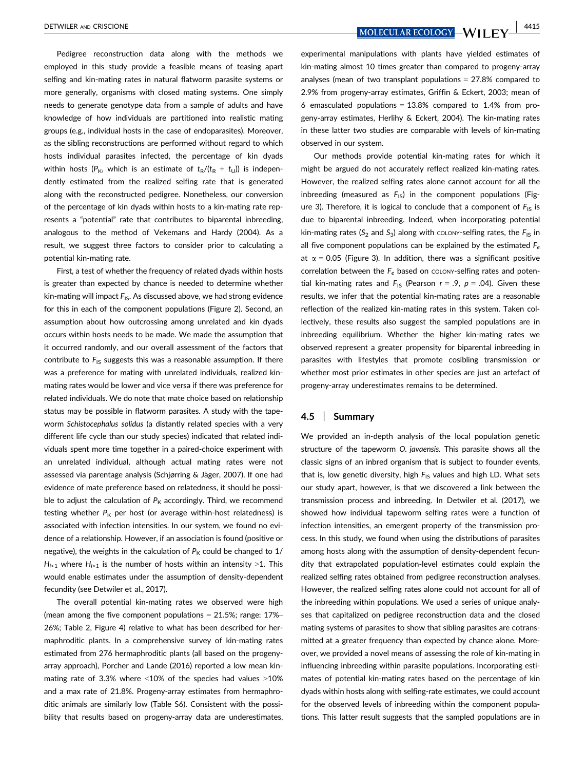Pedigree reconstruction data along with the methods we employed in this study provide a feasible means of teasing apart selfing and kin-mating rates in natural flatworm parasite systems or more generally, organisms with closed mating systems. One simply needs to generate genotype data from a sample of adults and have knowledge of how individuals are partitioned into realistic mating groups (e.g., individual hosts in the case of endoparasites). Moreover, as the sibling reconstructions are performed without regard to which hosts individual parasites infected, the percentage of kin dyads within hosts ( $P_K$ , which is an estimate of  $t_R/(t_R + t_U)$ ) is independently estimated from the realized selfing rate that is generated along with the reconstructed pedigree. Nonetheless, our conversion of the percentage of kin dyads within hosts to a kin-mating rate represents a "potential" rate that contributes to biparental inbreeding, analogous to the method of Vekemans and Hardy (2004). As a result, we suggest three factors to consider prior to calculating a potential kin-mating rate.

First, a test of whether the frequency of related dyads within hosts is greater than expected by chance is needed to determine whether kin-mating will impact  $F_{IS}$ . As discussed above, we had strong evidence for this in each of the component populations (Figure 2). Second, an assumption about how outcrossing among unrelated and kin dyads occurs within hosts needs to be made. We made the assumption that it occurred randomly, and our overall assessment of the factors that contribute to  $F_{1S}$  suggests this was a reasonable assumption. If there was a preference for mating with unrelated individuals, realized kinmating rates would be lower and vice versa if there was preference for related individuals. We do note that mate choice based on relationship status may be possible in flatworm parasites. A study with the tapeworm Schistocephalus solidus (a distantly related species with a very different life cycle than our study species) indicated that related individuals spent more time together in a paired-choice experiment with an unrelated individual, although actual mating rates were not assessed via parentage analysis (Schjørring & Jäger, 2007). If one had evidence of mate preference based on relatedness, it should be possible to adjust the calculation of  $P<sub>K</sub>$  accordingly. Third, we recommend testing whether  $P_K$  per host (or average within-host relatedness) is associated with infection intensities. In our system, we found no evidence of a relationship. However, if an association is found (positive or negative), the weights in the calculation of  $P<sub>K</sub>$  could be changed to 1/  $H_{i>1}$  where  $H_{i>1}$  is the number of hosts within an intensity >1. This would enable estimates under the assumption of density-dependent fecundity (see Detwiler et al., 2017).

The overall potential kin-mating rates we observed were high (mean among the five component populations  $= 21.5\%$ ; range: 17%– 26%; Table 2, Figure 4) relative to what has been described for hermaphroditic plants. In a comprehensive survey of kin-mating rates estimated from 276 hermaphroditic plants (all based on the progenyarray approach), Porcher and Lande (2016) reported a low mean kinmating rate of 3.3% where <10% of the species had values >10% and a max rate of 21.8%. Progeny-array estimates from hermaphroditic animals are similarly low (Table S6). Consistent with the possibility that results based on progeny-array data are underestimates,

DETWILER AND CRISCIONE 4415

experimental manipulations with plants have yielded estimates of kin-mating almost 10 times greater than compared to progeny-array analyses (mean of two transplant populations = 27.8% compared to 2.9% from progeny-array estimates, Griffin & Eckert, 2003; mean of 6 emasculated populations =  $13.8\%$  compared to  $1.4\%$  from progeny-array estimates, Herlihy & Eckert, 2004). The kin-mating rates in these latter two studies are comparable with levels of kin-mating observed in our system.

Our methods provide potential kin-mating rates for which it might be argued do not accurately reflect realized kin-mating rates. However, the realized selfing rates alone cannot account for all the inbreeding (measured as  $F_{1S}$ ) in the component populations (Figure 3). Therefore, it is logical to conclude that a component of  $F_{1S}$  is due to biparental inbreeding. Indeed, when incorporating potential kin-mating rates ( $S_2$  and  $S_3$ ) along with colony-selfing rates, the  $F_{1S}$  in all five component populations can be explained by the estimated  $F_e$ at  $\alpha$  = 0.05 (Figure 3). In addition, there was a significant positive correlation between the  $F_e$  based on colony-selfing rates and potential kin-mating rates and  $F_{1S}$  (Pearson  $r = .9$ ,  $p = .04$ ). Given these results, we infer that the potential kin-mating rates are a reasonable reflection of the realized kin-mating rates in this system. Taken collectively, these results also suggest the sampled populations are in inbreeding equilibrium. Whether the higher kin-mating rates we observed represent a greater propensity for biparental inbreeding in parasites with lifestyles that promote cosibling transmission or whether most prior estimates in other species are just an artefact of progeny-array underestimates remains to be determined.

#### 4.5 | Summary

We provided an in-depth analysis of the local population genetic structure of the tapeworm O. javaensis. This parasite shows all the classic signs of an inbred organism that is subject to founder events, that is, low genetic diversity, high  $F_{1S}$  values and high LD. What sets our study apart, however, is that we discovered a link between the transmission process and inbreeding. In Detwiler et al. (2017), we showed how individual tapeworm selfing rates were a function of infection intensities, an emergent property of the transmission process. In this study, we found when using the distributions of parasites among hosts along with the assumption of density-dependent fecundity that extrapolated population-level estimates could explain the realized selfing rates obtained from pedigree reconstruction analyses. However, the realized selfing rates alone could not account for all of the inbreeding within populations. We used a series of unique analyses that capitalized on pedigree reconstruction data and the closed mating systems of parasites to show that sibling parasites are cotransmitted at a greater frequency than expected by chance alone. Moreover, we provided a novel means of assessing the role of kin-mating in influencing inbreeding within parasite populations. Incorporating estimates of potential kin-mating rates based on the percentage of kin dyads within hosts along with selfing-rate estimates, we could account for the observed levels of inbreeding within the component populations. This latter result suggests that the sampled populations are in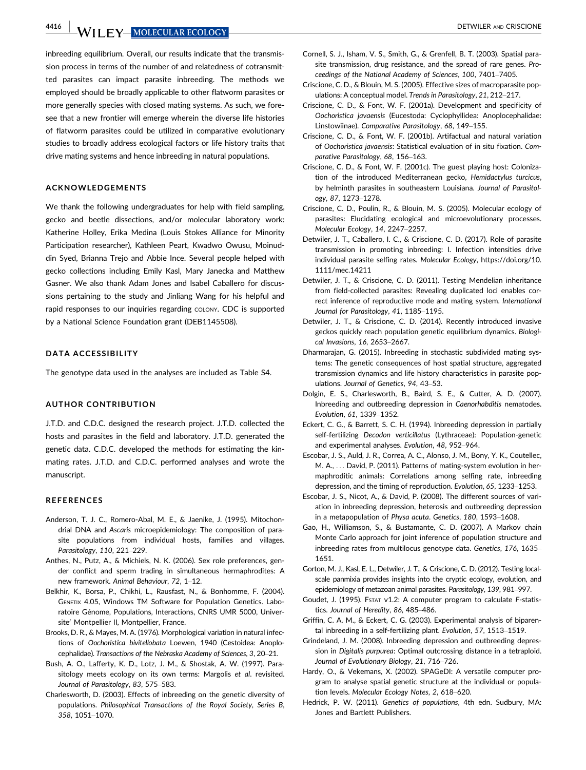**4416 WILEY MOLECULAR ECOLOGY** DETWILER AND CRISCIONE

inbreeding equilibrium. Overall, our results indicate that the transmission process in terms of the number of and relatedness of cotransmitted parasites can impact parasite inbreeding. The methods we employed should be broadly applicable to other flatworm parasites or more generally species with closed mating systems. As such, we foresee that a new frontier will emerge wherein the diverse life histories of flatworm parasites could be utilized in comparative evolutionary studies to broadly address ecological factors or life history traits that drive mating systems and hence inbreeding in natural populations.

#### ACKNOWLEDGEMENTS

We thank the following undergraduates for help with field sampling, gecko and beetle dissections, and/or molecular laboratory work: Katherine Holley, Erika Medina (Louis Stokes Alliance for Minority Participation researcher), Kathleen Peart, Kwadwo Owusu, Moinuddin Syed, Brianna Trejo and Abbie Ince. Several people helped with gecko collections including Emily Kasl, Mary Janecka and Matthew Gasner. We also thank Adam Jones and Isabel Caballero for discussions pertaining to the study and Jinliang Wang for his helpful and rapid responses to our inquiries regarding COLONY. CDC is supported by a National Science Foundation grant (DEB1145508).

#### DATA ACCESSIBILITY

The genotype data used in the analyses are included as Table S4.

#### AUTHOR CONTRIBUTION

J.T.D. and C.D.C. designed the research project. J.T.D. collected the hosts and parasites in the field and laboratory. J.T.D. generated the genetic data. C.D.C. developed the methods for estimating the kinmating rates. J.T.D. and C.D.C. performed analyses and wrote the manuscript.

#### REFERENCES

- Anderson, T. J. C., Romero-Abal, M. E., & Jaenike, J. (1995). Mitochondrial DNA and Ascaris microepidemiology: The composition of parasite populations from individual hosts, families and villages. Parasitology, 110, 221–229.
- Anthes, N., Putz, A., & Michiels, N. K. (2006). Sex role preferences, gender conflict and sperm trading in simultaneous hermaphrodites: A new framework. Animal Behaviour, 72, 1–12.
- Belkhir, K., Borsa, P., Chikhi, L., Rausfast, N., & Bonhomme, F. (2004). GENETIX 4.05, Windows TM Software for Population Genetics. Laboratoire Génome, Populations, Interactions, CNRS UMR 5000, Universite' Montpellier II, Montpellier, France.
- Brooks, D. R., & Mayes, M. A. (1976). Morphological variation in natural infections of Oochoristica bivitellobata Loewen, 1940 (Cestoidea: Anoplocephalidae). Transactions of the Nebraska Academy of Sciences, 3, 20–21.
- Bush, A. O., Lafferty, K. D., Lotz, J. M., & Shostak, A. W. (1997). Parasitology meets ecology on its own terms: Margolis et al. revisited. Journal of Parasitology, 83, 575–583.
- Charlesworth, D. (2003). Effects of inbreeding on the genetic diversity of populations. Philosophical Transactions of the Royal Society, Series B, 358, 1051–1070.
- Cornell, S. J., Isham, V. S., Smith, G., & Grenfell, B. T. (2003). Spatial parasite transmission, drug resistance, and the spread of rare genes. Proceedings of the National Academy of Sciences, 100, 7401–7405.
- Criscione, C. D., & Blouin, M. S. (2005). Effective sizes of macroparasite populations: A conceptual model. Trends in Parasitology, 21, 212–217.
- Criscione, C. D., & Font, W. F. (2001a). Development and specificity of Oochoristica javaensis (Eucestoda: Cyclophyllidea: Anoplocephalidae: Linstowiinae). Comparative Parasitology, 68, 149–155.
- Criscione, C. D., & Font, W. F. (2001b). Artifactual and natural variation of Oochoristica javaensis: Statistical evaluation of in situ fixation. Comparative Parasitology, 68, 156–163.
- Criscione, C. D., & Font, W. F. (2001c). The guest playing host: Colonization of the introduced Mediterranean gecko, Hemidactylus turcicus, by helminth parasites in southeastern Louisiana. Journal of Parasitology, 87, 1273–1278.
- Criscione, C. D., Poulin, R., & Blouin, M. S. (2005). Molecular ecology of parasites: Elucidating ecological and microevolutionary processes. Molecular Ecology, 14, 2247–2257.
- Detwiler, J. T., Caballero, I. C., & Criscione, C. D. (2017). Role of parasite transmission in promoting inbreeding: I. Infection intensities drive individual parasite selfing rates. Molecular Ecology, [https://doi.org/10.](https://doi.org/10.1111/mec.14211) [1111/mec.14211](https://doi.org/10.1111/mec.14211)
- Detwiler, J. T., & Criscione, C. D. (2011). Testing Mendelian inheritance from field-collected parasites: Revealing duplicated loci enables correct inference of reproductive mode and mating system. International Journal for Parasitology, 41, 1185–1195.
- Detwiler, J. T., & Criscione, C. D. (2014). Recently introduced invasive geckos quickly reach population genetic equilibrium dynamics. Biological Invasions, 16, 2653–2667.
- Dharmarajan, G. (2015). Inbreeding in stochastic subdivided mating systems: The genetic consequences of host spatial structure, aggregated transmission dynamics and life history characteristics in parasite populations. Journal of Genetics, 94, 43–53.
- Dolgin, E. S., Charlesworth, B., Baird, S. E., & Cutter, A. D. (2007). Inbreeding and outbreeding depression in Caenorhabditis nematodes. Evolution, 61, 1339–1352.
- Eckert, C. G., & Barrett, S. C. H. (1994). Inbreeding depression in partially self-fertilizing Decodon verticillatus (Lythraceae): Population-genetic and experimental analyses. Evolution, 48, 952–964.
- Escobar, J. S., Auld, J. R., Correa, A. C., Alonso, J. M., Bony, Y. K., Coutellec, M. A., ... David, P. (2011). Patterns of mating-system evolution in hermaphroditic animals: Correlations among selfing rate, inbreeding depression, and the timing of reproduction. Evolution, 65, 1233–1253.
- Escobar, J. S., Nicot, A., & David, P. (2008). The different sources of variation in inbreeding depression, heterosis and outbreeding depression in a metapopulation of Physa acuta. Genetics, 180, 1593–1608.
- Gao, H., Williamson, S., & Bustamante, C. D. (2007). A Markov chain Monte Carlo approach for joint inference of population structure and inbreeding rates from multilocus genotype data. Genetics, 176, 1635– 1651.
- Gorton, M. J., Kasl, E. L., Detwiler, J. T., & Criscione, C. D. (2012). Testing localscale panmixia provides insights into the cryptic ecology, evolution, and epidemiology of metazoan animal parasites. Parasitology, 139, 981–997.
- Goudet, J. (1995). FSTAT v1.2: A computer program to calculate F-statistics. Journal of Heredity, 86, 485–486.
- Griffin, C. A. M., & Eckert, C. G. (2003). Experimental analysis of biparental inbreeding in a self-fertilizing plant. Evolution, 57, 1513–1519.
- Grindeland, J. M. (2008). Inbreeding depression and outbreeding depression in Digitalis purpurea: Optimal outcrossing distance in a tetraploid. Journal of Evolutionary Biology, 21, 716–726.
- Hardy, O., & Vekemans, X. (2002). SPAGeDI: A versatile computer program to analyse spatial genetic structure at the individual or population levels. Molecular Ecology Notes, 2, 618–620.
- Hedrick, P. W. (2011). Genetics of populations, 4th edn. Sudbury, MA: Jones and Bartlett Publishers.